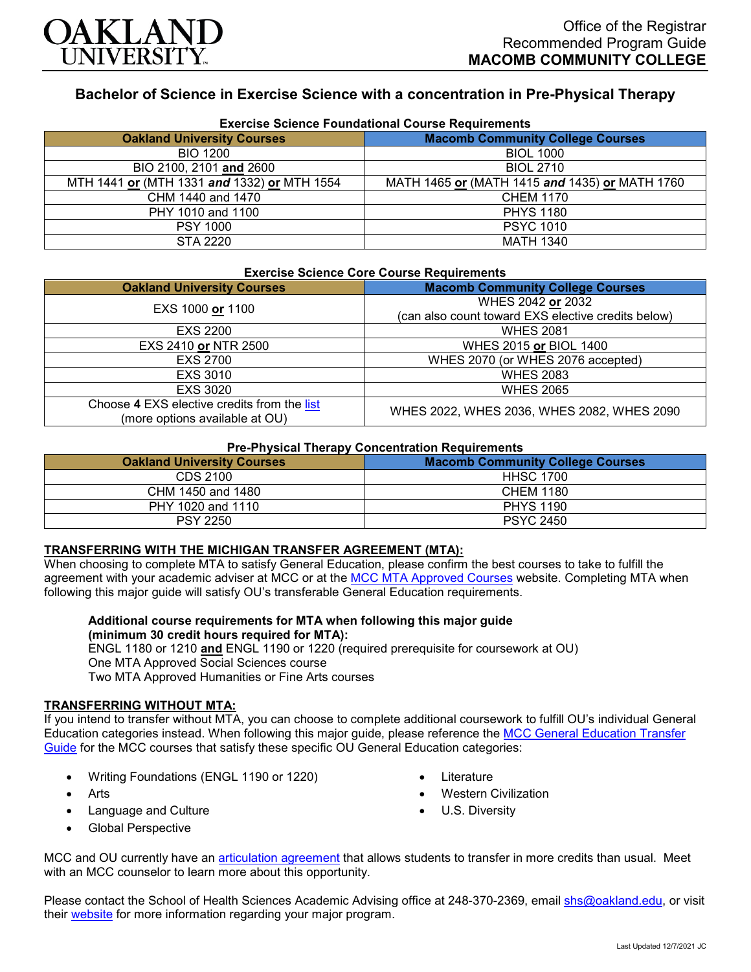

# **Bachelor of Science in Exercise Science with a concentration in Pre-Physical Therapy**

| <b>Exercise Science Foundational Course Requirements</b> |                                                |  |
|----------------------------------------------------------|------------------------------------------------|--|
| <b>Oakland University Courses</b>                        | <b>Macomb Community College Courses</b>        |  |
| <b>BIO 1200</b>                                          | <b>BIOL 1000</b>                               |  |
| BIO 2100, 2101 and 2600                                  | <b>BIOL 2710</b>                               |  |
| MTH 1441 or (MTH 1331 and 1332) or MTH 1554              | MATH 1465 or (MATH 1415 and 1435) or MATH 1760 |  |
| CHM 1440 and 1470                                        | <b>CHEM 1170</b>                               |  |
| PHY 1010 and 1100                                        | <b>PHYS 1180</b>                               |  |
| <b>PSY 1000</b>                                          | <b>PSYC 1010</b>                               |  |
| STA 2220                                                 | <b>MATH 1340</b>                               |  |

## **Exercise Science Core Course Requirements**

| EXPLOIDE OUIDITOG OUTE OUGHOU INDIGATIONING                                   |                                                                         |  |
|-------------------------------------------------------------------------------|-------------------------------------------------------------------------|--|
| <b>Oakland University Courses</b>                                             | <b>Macomb Community College Courses</b>                                 |  |
| EXS 1000 or 1100                                                              | WHES 2042 or 2032<br>(can also count toward EXS elective credits below) |  |
| EXS 2200                                                                      | <b>WHES 2081</b>                                                        |  |
| EXS 2410 or NTR 2500                                                          | WHES 2015 or BIOL 1400                                                  |  |
| <b>EXS 2700</b>                                                               | WHES 2070 (or WHES 2076 accepted)                                       |  |
| EXS 3010                                                                      | <b>WHES 2083</b>                                                        |  |
| EXS 3020                                                                      | <b>WHES 2065</b>                                                        |  |
| Choose 4 EXS elective credits from the list<br>(more options available at OU) | WHES 2022, WHES 2036, WHES 2082, WHES 2090                              |  |

#### **Pre-Physical Therapy Concentration Requirements**

| - - -<br><b>Oakland University Courses</b> | <b>Macomb Community College Courses</b> |
|--------------------------------------------|-----------------------------------------|
| CDS 2100                                   | <b>HHSC 1700</b>                        |
| CHM 1450 and 1480                          | CHEM 1180                               |
| PHY 1020 and 1110                          | <b>PHYS 1190</b>                        |
| <b>PSY 2250</b>                            | <b>PSYC 2450</b>                        |

#### **TRANSFERRING WITH THE MICHIGAN TRANSFER AGREEMENT (MTA):**

When choosing to complete MTA to satisfy General Education, please confirm the best courses to take to fulfill the agreement with your academic adviser at MCC or at the [MCC MTA Approved Courses](https://www.macomb.edu/resources/transfer-articulation/attachments/mta-macrao-course-list.pdf) website. Completing MTA when following this major guide will satisfy OU's transferable General Education requirements.

### **Additional course requirements for MTA when following this major guide (minimum 30 credit hours required for MTA):**

ENGL 1180 or 1210 **and** ENGL 1190 or 1220 (required prerequisite for coursework at OU) One MTA Approved Social Sciences course Two MTA Approved Humanities or Fine Arts courses

#### **TRANSFERRING WITHOUT MTA:**

If you intend to transfer without MTA, you can choose to complete additional coursework to fulfill OU's individual General Education categories instead. When following this major guide, please reference the [MCC General Education Transfer](https://www.oakland.edu/Assets/Oakland/program-guides/macomb-community-college/university-general-education-requirements/MCC%20Gen%20Ed.pdf)  [Guide](https://www.oakland.edu/Assets/Oakland/program-guides/macomb-community-college/university-general-education-requirements/MCC%20Gen%20Ed.pdf) for the MCC courses that satisfy these specific OU General Education categories:

- Writing Foundations (ENGL 1190 or 1220)
- **Arts**
- Language and Culture
- **Literature**
- Western Civilization
- U.S. Diversity

• Global Perspective

MCC and OU currently have an [articulation agreement](https://www.oakland.edu/Assets/Oakland/articulation-agreements/macomb-community-college/Macomb%20EXS%20AA.pdf) that allows students to transfer in more credits than usual. Meet with an MCC counselor to learn more about this opportunity.

Please contact the School of Health Sciences Academic Advising office at 248-370-2369, email [shs@oakland.edu,](mailto:shs@oakland.edu) or visit their [website](http://www.oakland.edu/shs/advising) for more information regarding your major program.